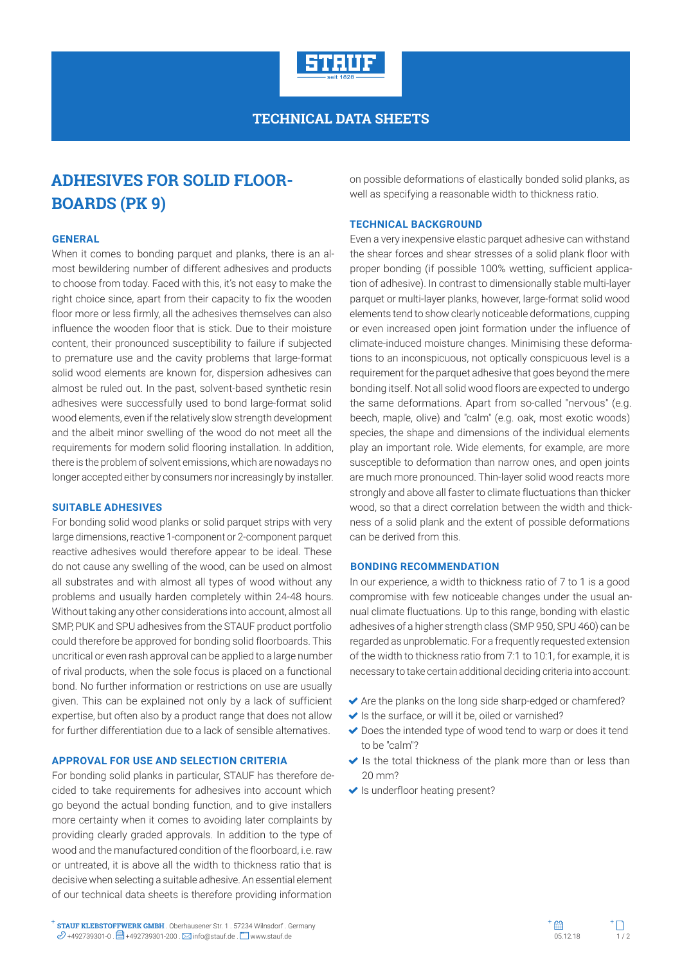

## **TECHNICAL DATA SHEETS**

# **ADHESIVES FOR SOLID FLOOR-BOARDS (PK 9)**

#### **GENERAL**

When it comes to bonding parquet and planks, there is an almost bewildering number of different adhesives and products to choose from today. Faced with this, it's not easy to make the right choice since, apart from their capacity to fix the wooden floor more or less firmly, all the adhesives themselves can also influence the wooden floor that is stick. Due to their moisture content, their pronounced susceptibility to failure if subjected to premature use and the cavity problems that large-format solid wood elements are known for, dispersion adhesives can almost be ruled out. In the past, solvent-based synthetic resin adhesives were successfully used to bond large-format solid wood elements, even if the relatively slow strength development and the albeit minor swelling of the wood do not meet all the requirements for modern solid flooring installation. In addition, there is the problem of solvent emissions, which are nowadays no longer accepted either by consumers nor increasingly by installer.

#### **SUITABLE ADHESIVES**

For bonding solid wood planks or solid parquet strips with very large dimensions, reactive 1-component or 2-component parquet reactive adhesives would therefore appear to be ideal. These do not cause any swelling of the wood, can be used on almost all substrates and with almost all types of wood without any problems and usually harden completely within 24-48 hours. Without taking any other considerations into account, almost all SMP, PUK and SPU adhesives from the STAUF product portfolio could therefore be approved for bonding solid floorboards. This uncritical or even rash approval can be applied to a large number of rival products, when the sole focus is placed on a functional bond. No further information or restrictions on use are usually given. This can be explained not only by a lack of sufficient expertise, but often also by a product range that does not allow for further differentiation due to a lack of sensible alternatives.

### **APPROVAL FOR USE AND SELECTION CRITERIA**

For bonding solid planks in particular, STAUF has therefore decided to take requirements for adhesives into account which go beyond the actual bonding function, and to give installers more certainty when it comes to avoiding later complaints by providing clearly graded approvals. In addition to the type of wood and the manufactured condition of the floorboard, i.e. raw or untreated, it is above all the width to thickness ratio that is decisive when selecting a suitable adhesive. An essential element of our technical data sheets is therefore providing information

on possible deformations of elastically bonded solid planks, as well as specifying a reasonable width to thickness ratio.

#### **TECHNICAL BACKGROUND**

Even a very inexpensive elastic parquet adhesive can withstand the shear forces and shear stresses of a solid plank floor with proper bonding (if possible 100% wetting, sufficient application of adhesive). In contrast to dimensionally stable multi-layer parquet or multi-layer planks, however, large-format solid wood elements tend to show clearly noticeable deformations, cupping or even increased open joint formation under the influence of climate-induced moisture changes. Minimising these deformations to an inconspicuous, not optically conspicuous level is a requirement for the parquet adhesive that goes beyond the mere bonding itself. Not all solid wood floors are expected to undergo the same deformations. Apart from so-called "nervous" (e.g. beech, maple, olive) and "calm" (e.g. oak, most exotic woods) species, the shape and dimensions of the individual elements play an important role. Wide elements, for example, are more susceptible to deformation than narrow ones, and open joints are much more pronounced. Thin-layer solid wood reacts more strongly and above all faster to climate fluctuations than thicker wood, so that a direct correlation between the width and thickness of a solid plank and the extent of possible deformations can be derived from this.

#### **BONDING RECOMMENDATION**

In our experience, a width to thickness ratio of 7 to 1 is a good compromise with few noticeable changes under the usual annual climate fluctuations. Up to this range, bonding with elastic adhesives of a higher strength class (SMP 950, SPU 460) can be regarded as unproblematic. For a frequently requested extension of the width to thickness ratio from 7:1 to 10:1, for example, it is necessary to take certain additional deciding criteria into account:

- ◆ Are the planks on the long side sharp-edged or chamfered?
- $\blacktriangleright$  Is the surface, or will it be, oiled or varnished?
- ◆ Does the intended type of wood tend to warp or does it tend to be "calm"?
- $\blacktriangleright$  Is the total thickness of the plank more than or less than 20 mm?
- $\blacktriangleright$  Is underfloor heating present?